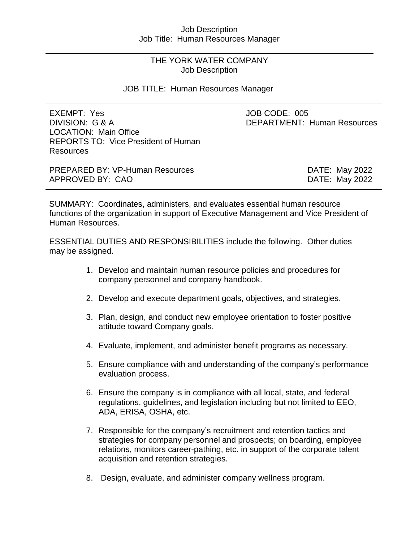# Job Description Job Title: Human Resources Manager

# THE YORK WATER COMPANY Job Description

# JOB TITLE: Human Resources Manager

| EXEMPT: Yes<br>DIVISION: G & A<br><b>LOCATION: Main Office</b><br><b>REPORTS TO: Vice President of Human</b><br><b>Resources</b> | JOB CODE: 005<br><b>DEPARTMENT: Human Resources</b> |
|----------------------------------------------------------------------------------------------------------------------------------|-----------------------------------------------------|
| <b>PREPARED BY: VP-Human Resources</b>                                                                                           | DATE: May 2022                                      |
| APPROVED BY: CAO                                                                                                                 | DATE: May 2022                                      |

SUMMARY: Coordinates, administers, and evaluates essential human resource functions of the organization in support of Executive Management and Vice President of Human Resources.

ESSENTIAL DUTIES AND RESPONSIBILITIES include the following. Other duties may be assigned.

- 1. Develop and maintain human resource policies and procedures for company personnel and company handbook.
- 2. Develop and execute department goals, objectives, and strategies.
- 3. Plan, design, and conduct new employee orientation to foster positive attitude toward Company goals.
- 4. Evaluate, implement, and administer benefit programs as necessary.
- 5. Ensure compliance with and understanding of the company's performance evaluation process.
- 6. Ensure the company is in compliance with all local, state, and federal regulations, guidelines, and legislation including but not limited to EEO, ADA, ERISA, OSHA, etc.
- 7. Responsible for the company's recruitment and retention tactics and strategies for company personnel and prospects; on boarding, employee relations, monitors career-pathing, etc. in support of the corporate talent acquisition and retention strategies.
- 8. Design, evaluate, and administer company wellness program.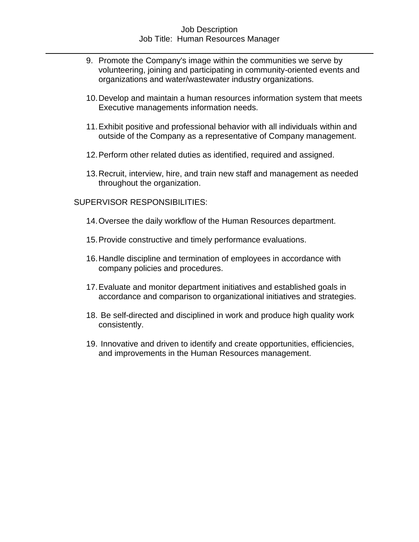# Job Description Job Title: Human Resources Manager

- 9. Promote the Company's image within the communities we serve by volunteering, joining and participating in community-oriented events and organizations and water/wastewater industry organizations.
- 10.Develop and maintain a human resources information system that meets Executive managements information needs.
- 11.Exhibit positive and professional behavior with all individuals within and outside of the Company as a representative of Company management.
- 12.Perform other related duties as identified, required and assigned.
- 13.Recruit, interview, hire, and train new staff and management as needed throughout the organization.

SUPERVISOR RESPONSIBILITIES:

- 14.Oversee the daily workflow of the Human Resources department.
- 15.Provide constructive and timely performance evaluations.
- 16.Handle discipline and termination of employees in accordance with company policies and procedures.
- 17.Evaluate and monitor department initiatives and established goals in accordance and comparison to organizational initiatives and strategies.
- 18. Be self-directed and disciplined in work and produce high quality work consistently.
- 19. Innovative and driven to identify and create opportunities, efficiencies, and improvements in the Human Resources management.